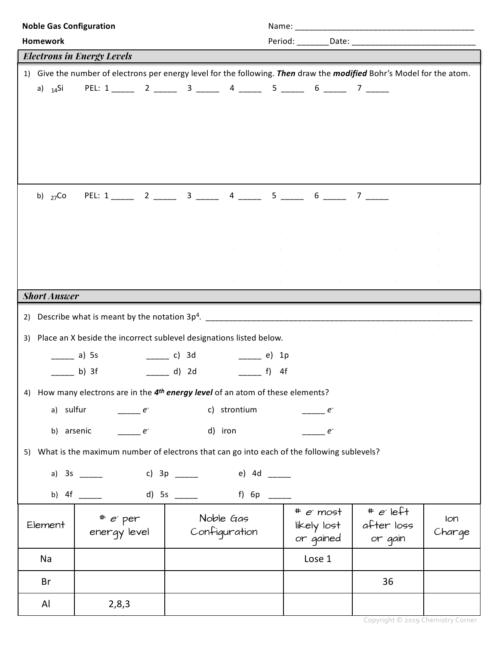| <b>Noble Gas Configuration</b>                                                                                        |                                                              |                                          |                                           |               |  |  |
|-----------------------------------------------------------------------------------------------------------------------|--------------------------------------------------------------|------------------------------------------|-------------------------------------------|---------------|--|--|
| <b>Homework</b>                                                                                                       |                                                              |                                          |                                           |               |  |  |
| <b>Electrons in Energy Levels</b>                                                                                     |                                                              |                                          |                                           |               |  |  |
| 1) Give the number of electrons per energy level for the following. Then draw the modified Bohr's Model for the atom. |                                                              |                                          |                                           |               |  |  |
| a) $_{14}Si$ PEL: 1 ______ 2 _____ 3 _____ 4 _____ 5 _____ 6 _____ 7 _____                                            |                                                              |                                          |                                           |               |  |  |
|                                                                                                                       |                                                              |                                          |                                           |               |  |  |
| b) $_{27}$ Co PEL: 1 _____ 2 _____ 3 _____ 4 _____ 5 _____ 6 _____ 7 _____                                            |                                                              |                                          |                                           |               |  |  |
| <b>Short Answer</b>                                                                                                   |                                                              |                                          |                                           |               |  |  |
|                                                                                                                       |                                                              |                                          |                                           |               |  |  |
|                                                                                                                       |                                                              |                                          |                                           |               |  |  |
| 3) Place an X beside the incorrect sublevel designations listed below.                                                |                                                              |                                          |                                           |               |  |  |
| _____ a)  5s                    ______ c)   3d                ______ e)   1p                                          |                                                              |                                          |                                           |               |  |  |
| ______ d) 2d ______ f) 4f<br>$\frac{1}{\sqrt{2}}$ b) 3f                                                               |                                                              |                                          |                                           |               |  |  |
| How many electrons are in the 4 <sup>th</sup> energy level of an atom of these elements?<br>4)                        |                                                              |                                          |                                           |               |  |  |
| c) strontium<br>a) sulfur $\rule{1em}{0.15mm}$ $e^-$<br>e                                                             |                                                              |                                          |                                           |               |  |  |
| d) iron<br>b) arsenic<br>$e^{-}$<br>$e^{-}$                                                                           |                                                              |                                          |                                           |               |  |  |
| 5) What is the maximum number of electrons that can go into each of the following sublevels?                          |                                                              |                                          |                                           |               |  |  |
| a) 3s ______ c) 3p _____ e) 4d ____                                                                                   |                                                              |                                          |                                           |               |  |  |
| b) 4f _____ d) 5s _____ f) 6p ____                                                                                    |                                                              |                                          |                                           |               |  |  |
| Element                                                                                                               | # e <sup>r</sup> per Moble Gas<br>energy level Configuration | $*$ $e$ most<br>likely lost<br>or gained | $\pm e$ left<br>$ $ after loss<br>or gain | Ion<br>Charge |  |  |
| Na                                                                                                                    |                                                              | Lose 1                                   |                                           |               |  |  |
| Br                                                                                                                    |                                                              |                                          | 36                                        |               |  |  |
| Al<br>2,8,3                                                                                                           |                                                              |                                          |                                           |               |  |  |

Copyright © 2019 Chemistry Corner